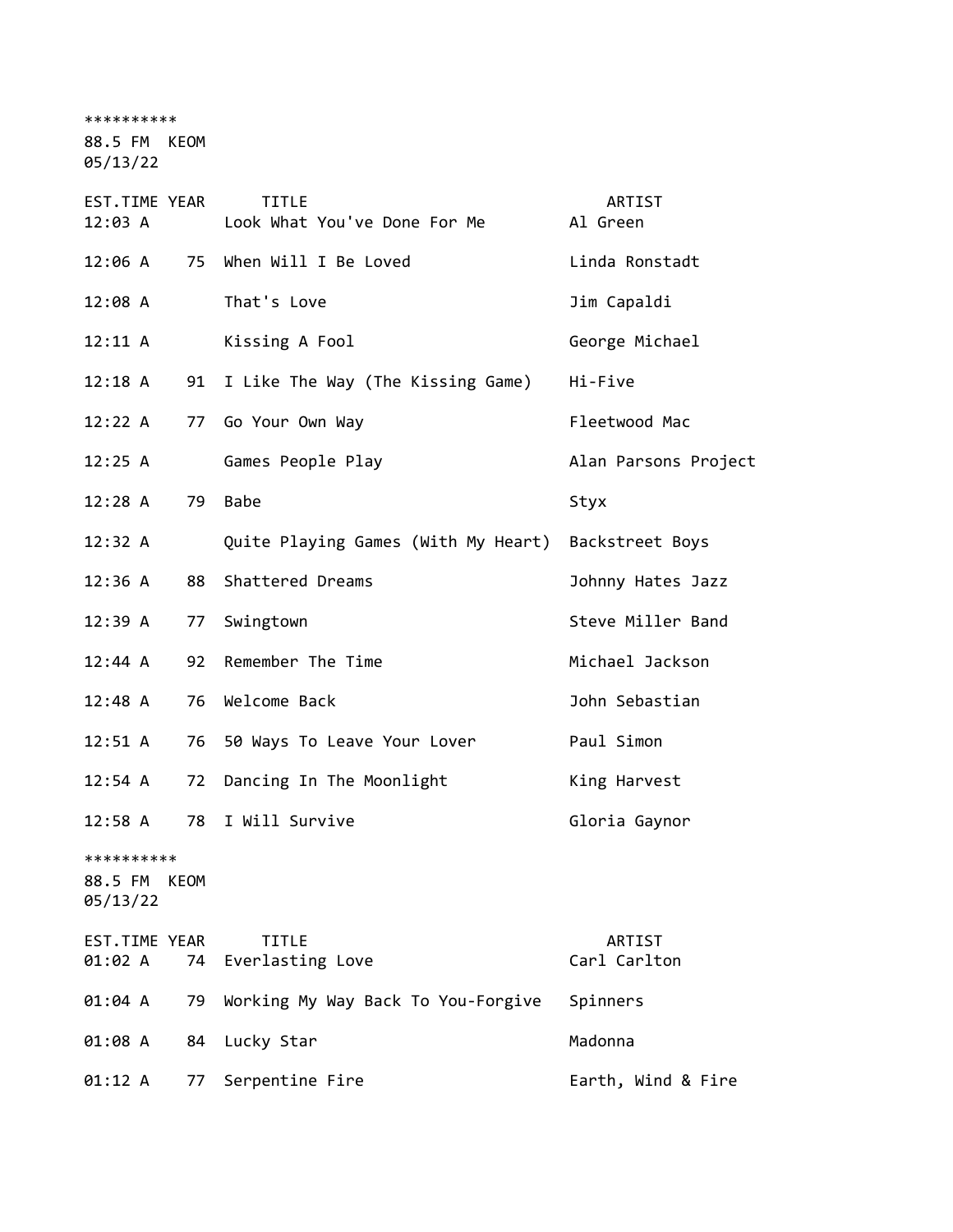\*\*\*\*\*\*\*\*\*\*

88.5 FM KEOM

05/13/22

| EST.TIME YEAR<br>12:03 A          |      | <b>TITLE</b><br>Look What You've Done For Me | ARTIST<br>Al Green     |
|-----------------------------------|------|----------------------------------------------|------------------------|
| 12:06 A                           |      | 75 When Will I Be Loved                      | Linda Ronstadt         |
| 12:08A                            |      | That's Love                                  | Jim Capaldi            |
| 12:11 A                           |      | Kissing A Fool                               | George Michael         |
| 12:18 A                           | 91   | I Like The Way (The Kissing Game)            | Hi-Five                |
| 12:22 A                           |      | 77 Go Your Own Way                           | Fleetwood Mac          |
| 12:25 A                           |      | Games People Play                            | Alan Parsons Project   |
| 12:28 A                           | 79   | <b>Babe</b>                                  | Styx                   |
| 12:32 A                           |      | Quite Playing Games (With My Heart)          | Backstreet Boys        |
| 12:36 A                           | 88   | Shattered Dreams                             | Johnny Hates Jazz      |
| 12:39 A                           | 77   | Swingtown                                    | Steve Miller Band      |
| 12:44 A                           | 92   | Remember The Time                            | Michael Jackson        |
| $12:48 \; A$                      | 76   | Welcome Back                                 | John Sebastian         |
| $12:51 \; A$                      | 76   | 50 Ways To Leave Your Lover                  | Paul Simon             |
| 12:54 A                           | 72   | Dancing In The Moonlight                     | King Harvest           |
| $12:58$ A                         | 78   | I Will Survive                               | Gloria Gaynor          |
| **********<br>88.5 FM<br>05/13/22 | KEOM |                                              |                        |
| EST.TIME YEAR<br>01:02 A          | 74   | <b>TITLE</b><br>Everlasting Love             | ARTIST<br>Carl Carlton |
| 01:04 A                           | 79   | Working My Way Back To You-Forgive           | Spinners               |
| 01:08 A                           | 84   | Lucky Star                                   | Madonna                |
| 01:12 A                           | 77   | Serpentine Fire                              | Earth, Wind & Fire     |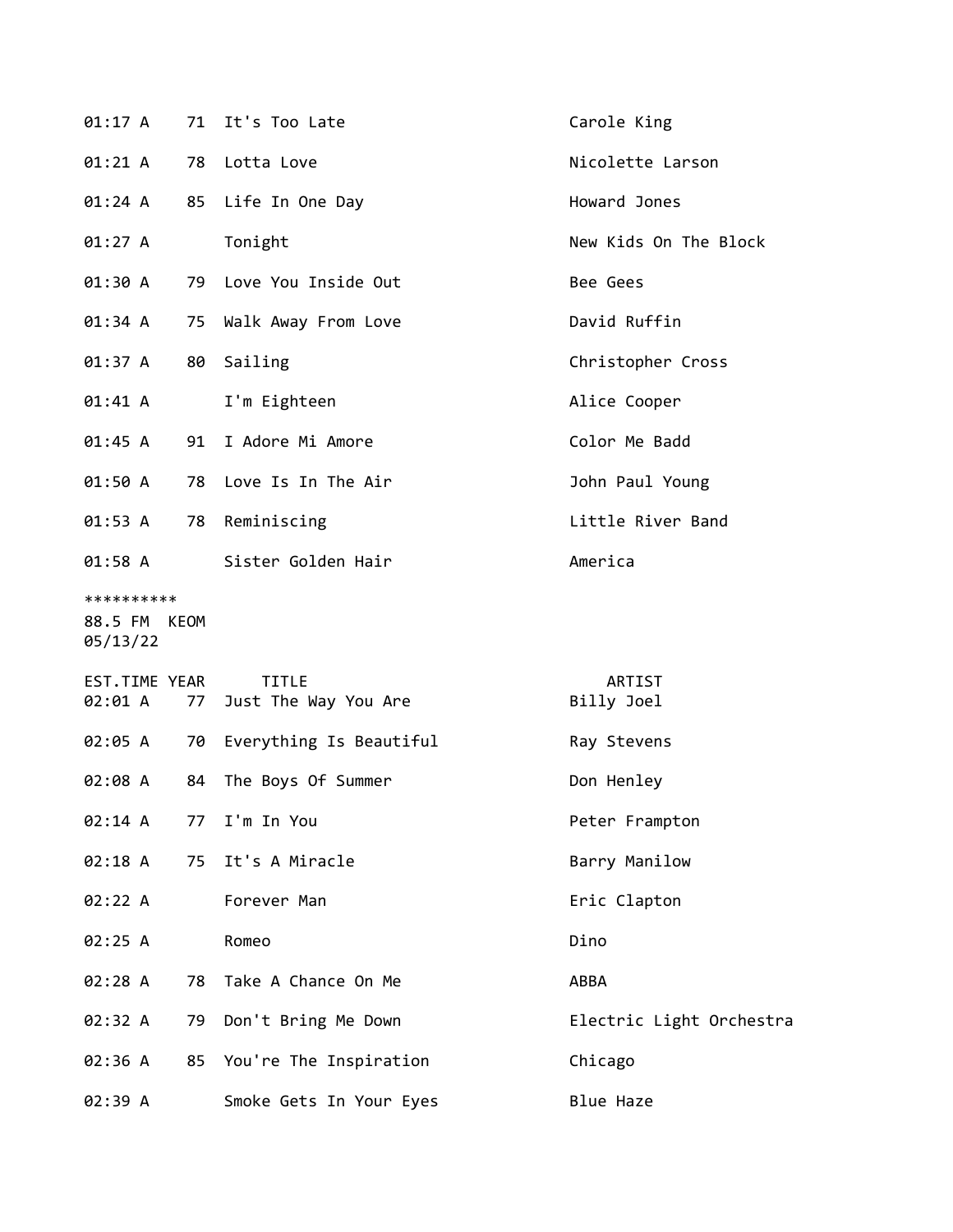| 01:17 A                                |    | 71 It's Too Late                     | Carole King              |
|----------------------------------------|----|--------------------------------------|--------------------------|
| 01:21 A                                | 78 | Lotta Love                           | Nicolette Larson         |
| 01:24 A                                | 85 | Life In One Day                      | Howard Jones             |
| 01:27 A                                |    | Tonight                              | New Kids On The Block    |
| 01:30 A                                |    | 79 Love You Inside Out               | Bee Gees                 |
| 01:34 A                                | 75 | Walk Away From Love                  | David Ruffin             |
| 01:37 A                                | 80 | Sailing                              | Christopher Cross        |
| 01:41 A                                |    | I'm Eighteen                         | Alice Cooper             |
| 01:45 A                                | 91 | I Adore Mi Amore                     | Color Me Badd            |
| 01:50 A                                | 78 | Love Is In The Air                   | John Paul Young          |
| 01:53 A                                | 78 | Reminiscing                          | Little River Band        |
| 01:58 A                                |    | Sister Golden Hair                   | America                  |
| **********<br>88.5 FM KEOM<br>05/13/22 |    |                                      |                          |
| EST.TIME YEAR<br>02:01 A               | 77 | <b>TITLE</b><br>Just The Way You Are | ARTIST<br>Billy Joel     |
| 02:05 A                                | 70 | Everything Is Beautiful              | Ray Stevens              |
| 02:08 A                                | 84 | The Boys Of Summer                   | Don Henley               |
| 02:14 A                                | 77 | I'm In You                           | Peter Frampton           |
| 02:18 A                                | 75 | It's A Miracle                       | Barry Manilow            |
| 02:22 A                                |    | Forever Man                          | Eric Clapton             |
| 02:25 A                                |    | Romeo                                | Dino                     |
| 02:28 A                                | 78 | Take A Chance On Me                  | ABBA                     |
| 02:32 A                                | 79 | Don't Bring Me Down                  | Electric Light Orchestra |
| 02:36 A                                | 85 | You're The Inspiration               | Chicago                  |
| 02:39 A                                |    | Smoke Gets In Your Eyes              | Blue Haze                |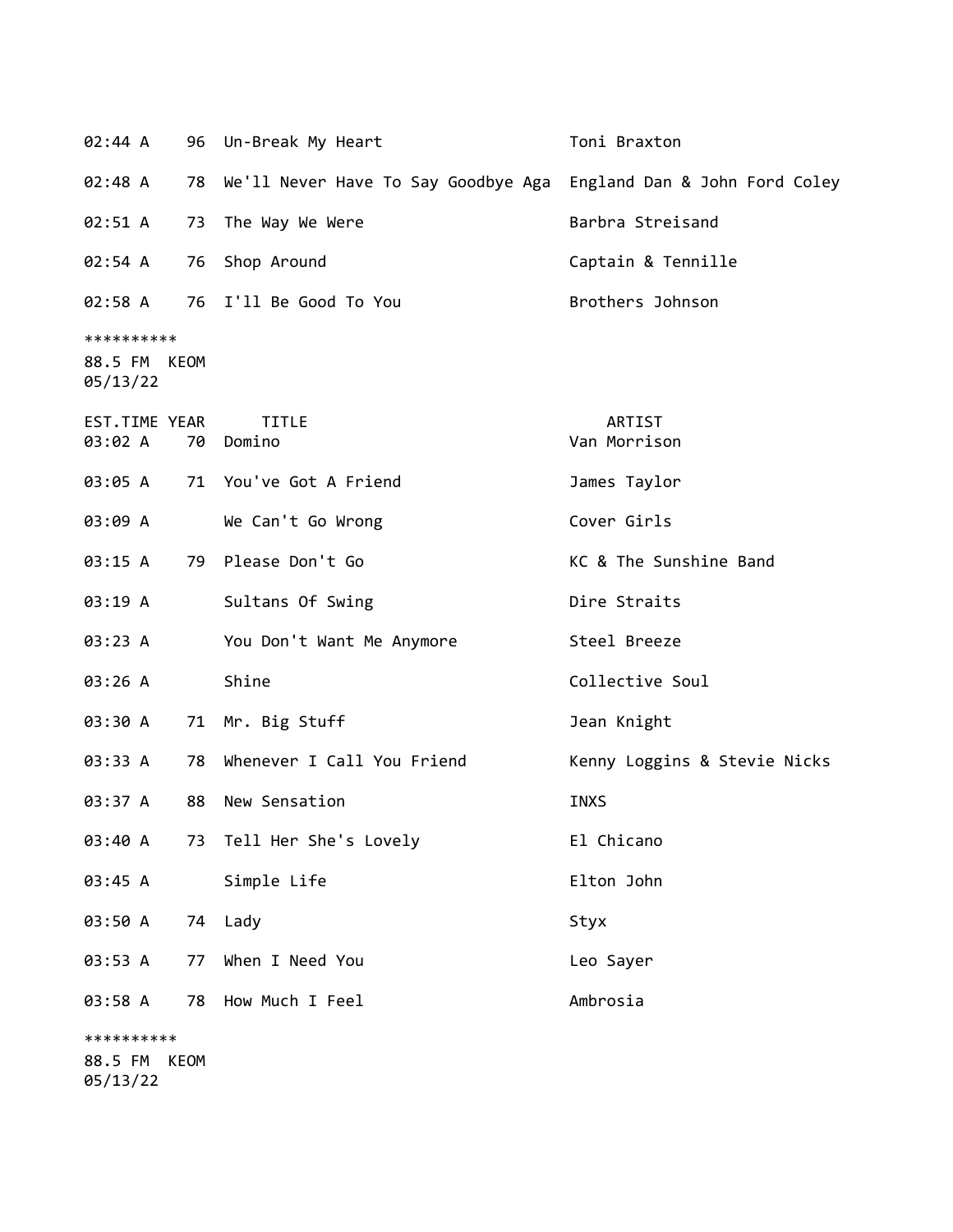| 02:44 A                                |    | 96 Un-Break My Heart                   | Toni Braxton                  |
|----------------------------------------|----|----------------------------------------|-------------------------------|
| 02:48 A                                |    | 78 We'll Never Have To Say Goodbye Aga | England Dan & John Ford Coley |
| 02:51 A                                | 73 | The Way We Were                        | Barbra Streisand              |
| 02:54 A                                | 76 | Shop Around                            | Captain & Tennille            |
| 02:58 A                                |    | 76 I'll Be Good To You                 | Brothers Johnson              |
| **********<br>88.5 FM KEOM<br>05/13/22 |    |                                        |                               |
| EST.TIME YEAR<br>03:02 A               | 70 | <b>TITLE</b><br>Domino                 | ARTIST<br>Van Morrison        |
| 03:05 A                                |    | 71 You've Got A Friend                 | James Taylor                  |
| 03:09 A                                |    | We Can't Go Wrong                      | Cover Girls                   |
| 03:15 A                                |    | 79 Please Don't Go                     | KC & The Sunshine Band        |
| 03:19 A                                |    | Sultans Of Swing                       | Dire Straits                  |
| 03:23 A                                |    | You Don't Want Me Anymore              | Steel Breeze                  |
| 03:26 A                                |    | Shine                                  | Collective Soul               |
| 03:30 A                                |    | 71 Mr. Big Stuff                       | Jean Knight                   |
| 03:33 A                                |    | 78 Whenever I Call You Friend          | Kenny Loggins & Stevie Nicks  |
| 03:37 A                                | 88 | New Sensation                          | <b>INXS</b>                   |
| 03:40 A                                |    | 73 Tell Her She's Lovely               | El Chicano                    |
| 03:45 A                                |    | Simple Life                            | Elton John                    |
| 03:50 A                                |    | 74 Lady                                | Styx                          |
| 03:53 A                                | 77 | When I Need You                        | Leo Sayer                     |
| 03:58 A                                | 78 | How Much I Feel                        | Ambrosia                      |
| **********                             |    |                                        |                               |
| 88.5 FM KEOM                           |    |                                        |                               |

05/13/22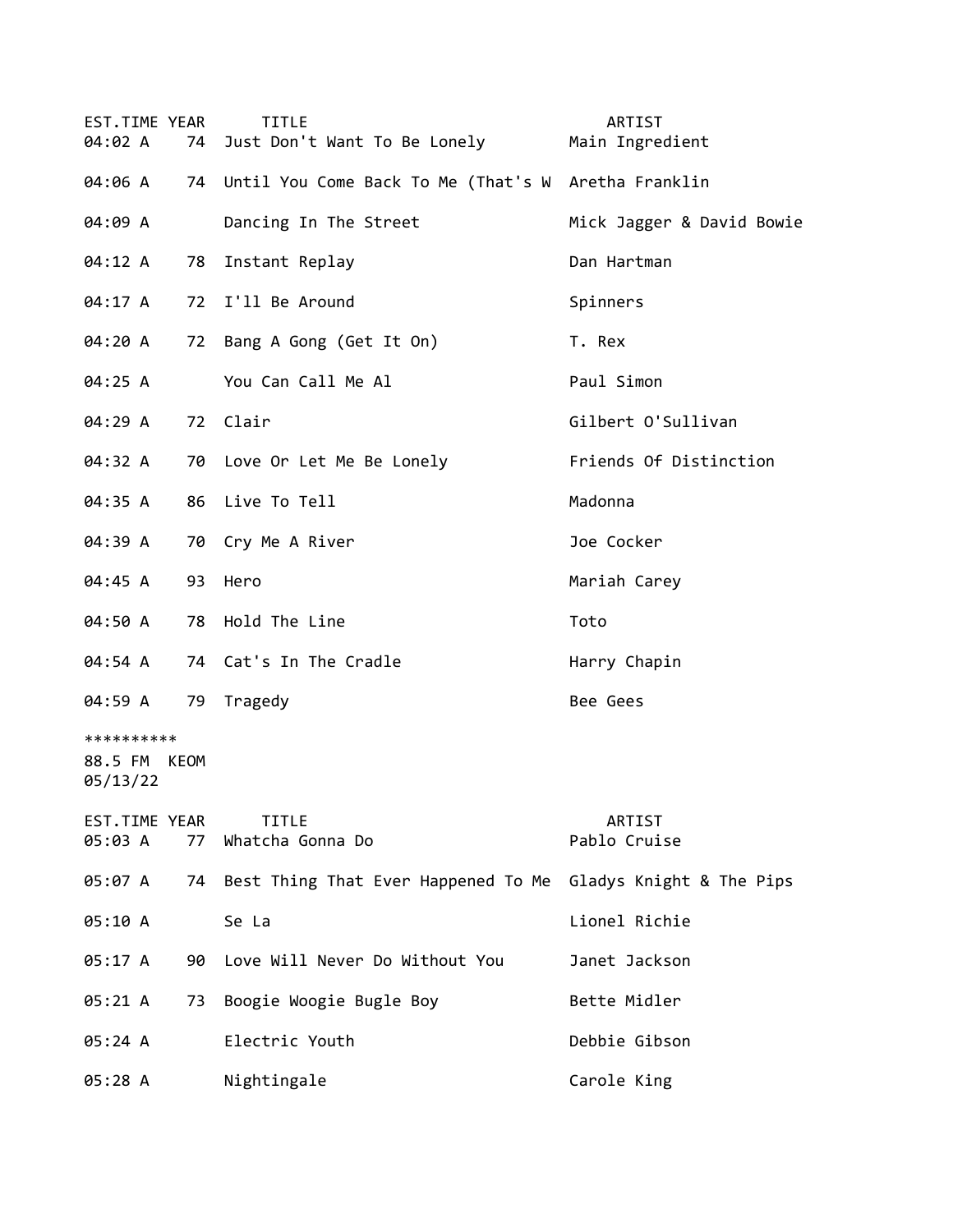| EST.TIME YEAR<br>04:02 A               |    | <b>TITLE</b><br>74 Just Don't Want To Be Lonely        | ARTIST<br>Main Ingredient |
|----------------------------------------|----|--------------------------------------------------------|---------------------------|
| 04:06 A                                |    | 74 Until You Come Back To Me (That's W Aretha Franklin |                           |
| 04:09 A                                |    | Dancing In The Street                                  | Mick Jagger & David Bowie |
| 04:12 A                                | 78 | Instant Replay                                         | Dan Hartman               |
| 04:17 A                                |    | 72 I'll Be Around                                      | Spinners                  |
| 04:20 A                                |    | 72 Bang A Gong (Get It On)                             | T. Rex                    |
| 04:25 A                                |    | You Can Call Me Al                                     | Paul Simon                |
| 04:29 A                                |    | 72 Clair                                               | Gilbert O'Sullivan        |
| 04:32 A                                |    | 70 Love Or Let Me Be Lonely                            | Friends Of Distinction    |
| 04:35 A                                |    | 86 Live To Tell                                        | Madonna                   |
| 04:39 A                                |    | 70 Cry Me A River                                      | Joe Cocker                |
| 04:45 A                                | 93 | Hero                                                   | Mariah Carey              |
| 04:50 A                                |    | 78 Hold The Line                                       | Toto                      |
| 04:54 A                                |    | 74 Cat's In The Cradle                                 | Harry Chapin              |
| 04:59 A                                | 79 | Tragedy                                                | Bee Gees                  |
| **********<br>88.5 FM KEOM<br>05/13/22 |    |                                                        |                           |
| EST.TIME YEAR<br>05:03 A               | 77 | <b>TITLE</b><br>Whatcha Gonna Do                       | ARTIST<br>Pablo Cruise    |
| 05:07 A                                | 74 | Best Thing That Ever Happened To Me                    | Gladys Knight & The Pips  |
| 05:10 A                                |    | Se La                                                  | Lionel Richie             |
| 05:17 A                                | 90 | Love Will Never Do Without You                         | Janet Jackson             |
| 05:21 A                                | 73 | Boogie Woogie Bugle Boy                                | Bette Midler              |
| 05:24 A                                |    | Electric Youth                                         | Debbie Gibson             |
| 05:28 A                                |    | Nightingale                                            | Carole King               |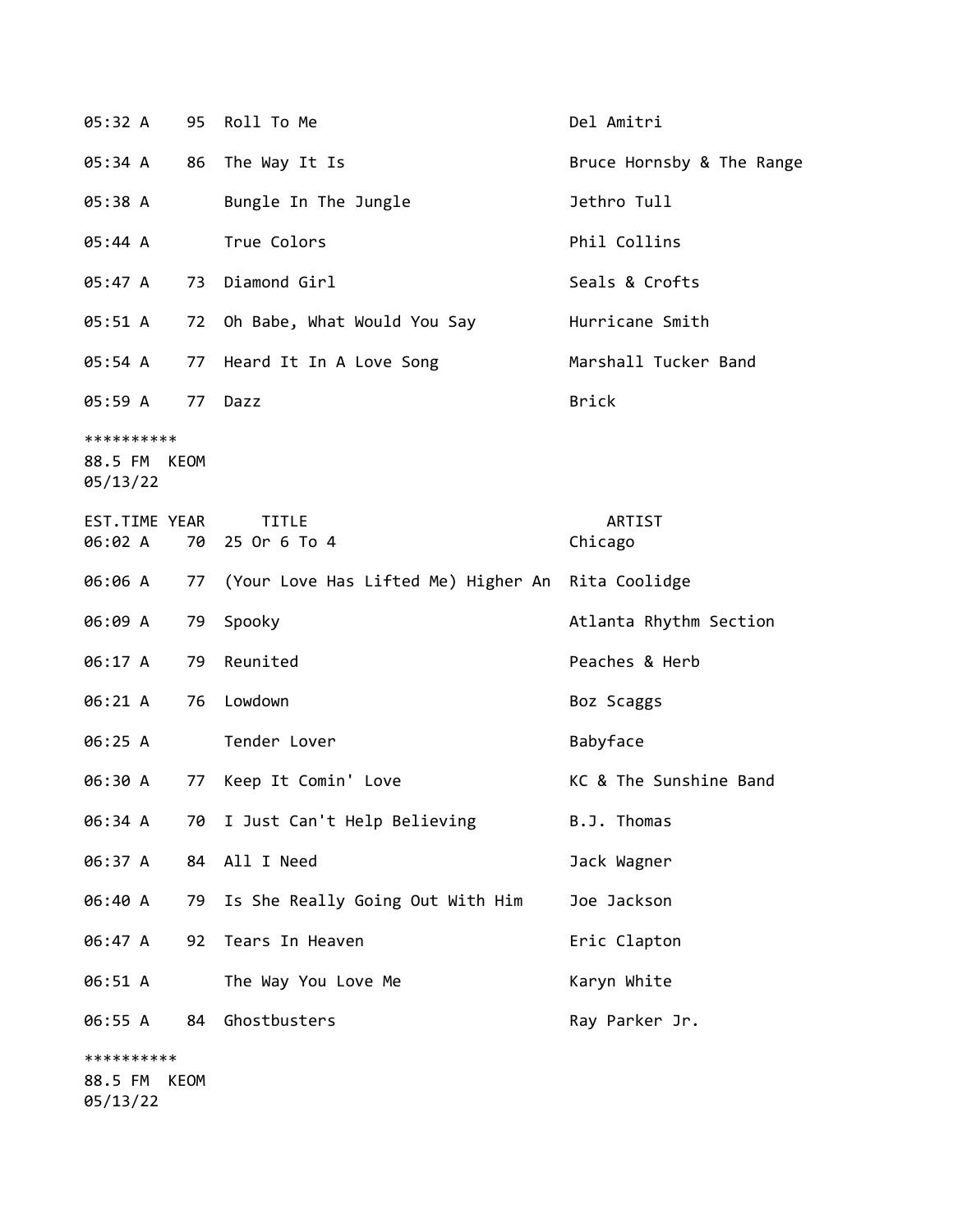| 05:32 A                                | 95 | Roll To Me                                        | Del Amitri                |
|----------------------------------------|----|---------------------------------------------------|---------------------------|
| 05:34 A                                | 86 | The Way It Is                                     | Bruce Hornsby & The Range |
| 05:38 A                                |    | Bungle In The Jungle                              | Jethro Tull               |
| 05:44 A                                |    | True Colors                                       | Phil Collins              |
| 05:47A                                 | 73 | Diamond Girl                                      | Seals & Crofts            |
| 05:51 A                                | 72 | Oh Babe, What Would You Say                       | Hurricane Smith           |
| 05:54 A                                | 77 | Heard It In A Love Song                           | Marshall Tucker Band      |
| 05:59 A                                | 77 | Dazz                                              | <b>Brick</b>              |
| **********<br>88.5 FM KEOM<br>05/13/22 |    |                                                   |                           |
| EST.TIME YEAR<br>06:02 A               |    | <b>TITLE</b><br>70 25 Or 6 To 4                   | ARTIST<br>Chicago         |
| 06:06 A                                | 77 | (Your Love Has Lifted Me) Higher An Rita Coolidge |                           |
| 06:09 A                                | 79 | Spooky                                            | Atlanta Rhythm Section    |
| 06:17 A                                | 79 | Reunited                                          | Peaches & Herb            |
| 06:21 A                                | 76 | Lowdown                                           | Boz Scaggs                |
| 06:25 A                                |    | Tender Lover                                      | Babyface                  |
| 06:30 A                                | 77 | Keep It Comin' Love                               | KC & The Sunshine Band    |
| 06:34 A                                | 70 | I Just Can't Help Believing                       | B.J. Thomas               |
| 06:37 A                                | 84 | All I Need                                        | Jack Wagner               |
| 06:40 A                                | 79 | Is She Really Going Out With Him                  | Joe Jackson               |
| 06:47 A                                | 92 | Tears In Heaven                                   | Eric Clapton              |
| 06:51 A                                |    | The Way You Love Me                               | Karyn White               |
| 06:55 A                                | 84 | Ghostbusters                                      | Ray Parker Jr.            |
| **********<br>88.5 FM KEOM<br>05/13/22 |    |                                                   |                           |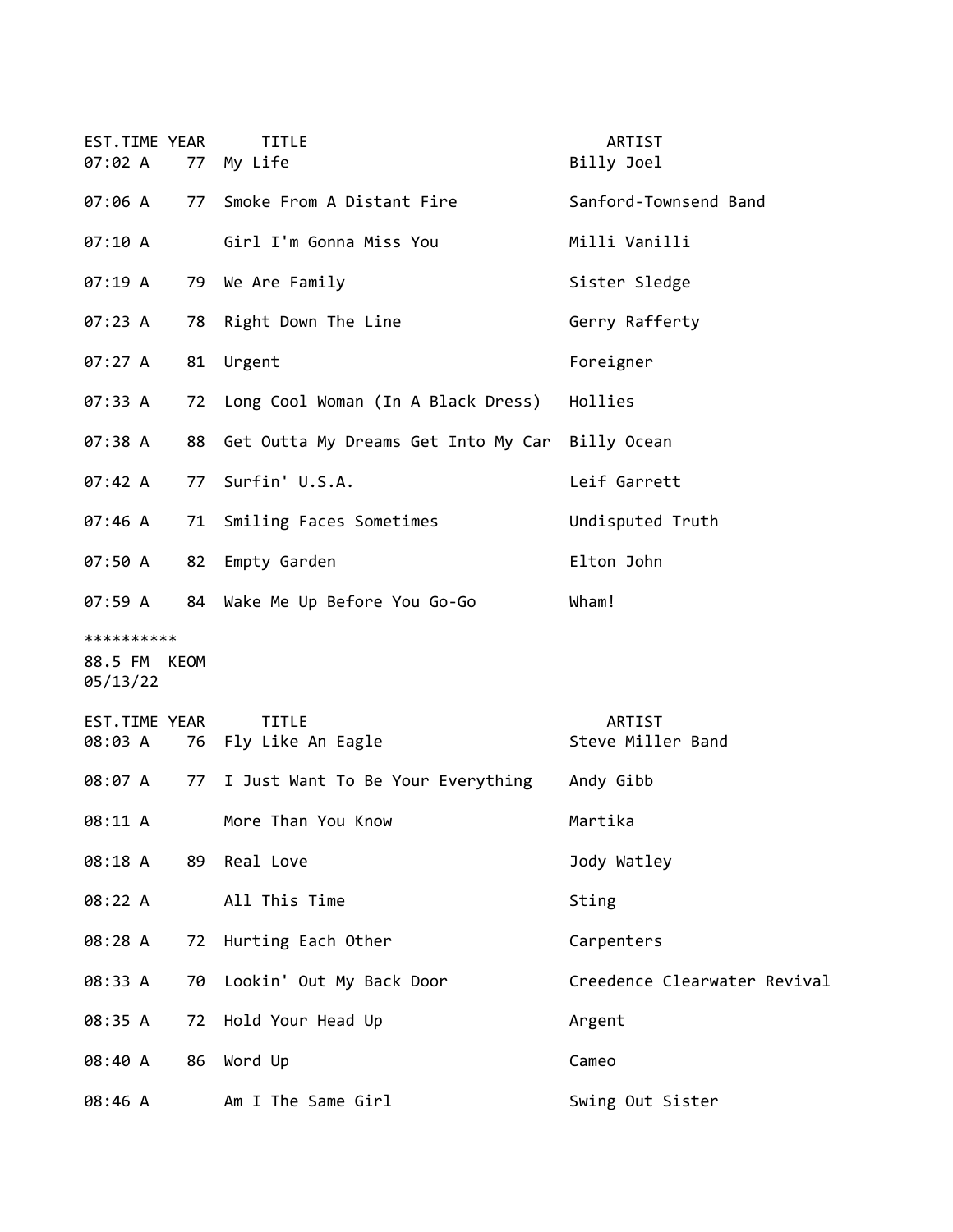| EST.TIME YEAR<br>07:02 A               |    | <b>TITLE</b><br>77 My Life                      | ARTIST<br>Billy Joel         |
|----------------------------------------|----|-------------------------------------------------|------------------------------|
| 07:06 A                                |    | 77 Smoke From A Distant Fire                    | Sanford-Townsend Band        |
| 07:10 A                                |    | Girl I'm Gonna Miss You                         | Milli Vanilli                |
| 07:19A                                 |    | 79 We Are Family                                | Sister Sledge                |
| 07:23 A                                |    | 78 Right Down The Line                          | Gerry Rafferty               |
| 07:27 A                                | 81 | Urgent                                          | Foreigner                    |
| 07:33 A                                |    | 72 Long Cool Woman (In A Black Dress)           | Hollies                      |
| 07:38 A                                | 88 | Get Outta My Dreams Get Into My Car Billy Ocean |                              |
| 07:42 A                                | 77 | Surfin' U.S.A.                                  | Leif Garrett                 |
| 07:46 A                                |    | 71 Smiling Faces Sometimes                      | Undisputed Truth             |
| 07:50 A                                | 82 | Empty Garden                                    | Elton John                   |
| 07:59 A                                |    | 84 Wake Me Up Before You Go-Go                  | Wham!                        |
| **********<br>88.5 FM KEOM<br>05/13/22 |    |                                                 |                              |
| EST.TIME YEAR                          |    |                                                 |                              |
| 08:03 A                                |    | <b>TITLE</b><br>76 Fly Like An Eagle            | ARTIST<br>Steve Miller Band  |
| 08:07 A                                |    | 77 I Just Want To Be Your Everything            | Andy Gibb                    |
| 08:11 A                                |    | More Than You Know                              | Martika                      |
| 08:18 A 89 Real Love                   |    |                                                 | Jody Watley                  |
| 08:22 A                                |    | All This Time                                   | Sting                        |
| 08:28 A                                |    | 72 Hurting Each Other                           | Carpenters                   |
| 08:33 A                                | 70 | Lookin' Out My Back Door                        | Creedence Clearwater Revival |
| 08:35 A                                | 72 | Hold Your Head Up                               | Argent                       |
| 08:40 A                                |    | 86 Word Up                                      | Cameo                        |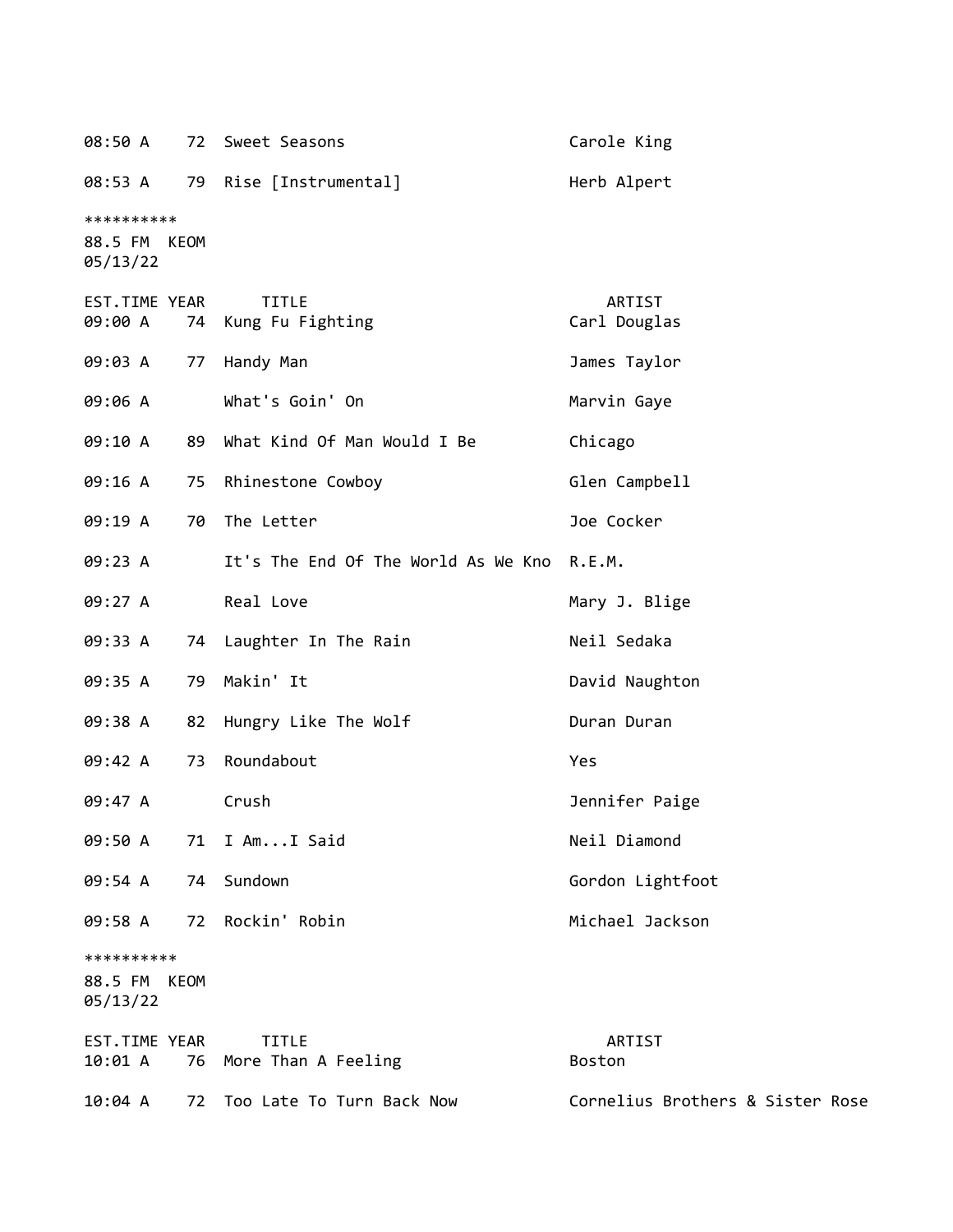| 08:50 A                                          |    | 72 Sweet Seasons                           | Carole King                      |
|--------------------------------------------------|----|--------------------------------------------|----------------------------------|
| 08:53 A                                          |    | 79 Rise [Instrumental]                     | Herb Alpert                      |
| **********<br>88.5 FM<br>KEOM<br>05/13/22        |    |                                            |                                  |
| EST.TIME YEAR<br>09:00 A                         | 74 | <b>TITLE</b><br>Kung Fu Fighting           | ARTIST<br>Carl Douglas           |
| 09:03 A                                          | 77 | Handy Man                                  | James Taylor                     |
| 09:06 A                                          |    | What's Goin' On                            | Marvin Gaye                      |
| 09:10 A                                          | 89 | What Kind Of Man Would I Be                | Chicago                          |
| 09:16 A                                          |    | 75 Rhinestone Cowboy                       | Glen Campbell                    |
| 09:19 A                                          | 70 | The Letter                                 | Joe Cocker                       |
| 09:23 A                                          |    | It's The End Of The World As We Kno R.E.M. |                                  |
| 09:27 A                                          |    | Real Love                                  | Mary J. Blige                    |
| 09:33 A                                          |    | 74 Laughter In The Rain                    | Neil Sedaka                      |
| 09:35 A                                          | 79 | Makin' It                                  | David Naughton                   |
| 09:38 A                                          |    | 82 Hungry Like The Wolf                    | Duran Duran                      |
| 09:42 A                                          | 73 | Roundabout                                 | Yes                              |
| 09:47 A                                          |    | Crush                                      | Jennifer Paige                   |
| 09:50 A                                          |    | 71 I AmI Said                              | Neil Diamond                     |
| 09:54 A                                          | 74 | Sundown                                    | Gordon Lightfoot                 |
| 09:58 A                                          |    | 72 Rockin' Robin                           | Michael Jackson                  |
| **********<br>88.5 FM<br><b>KEOM</b><br>05/13/22 |    |                                            |                                  |
| EST.TIME YEAR<br>10:01 A                         |    | <b>TITLE</b><br>76 More Than A Feeling     | ARTIST<br>Boston                 |
| 10:04 A                                          | 72 | Too Late To Turn Back Now                  | Cornelius Brothers & Sister Rose |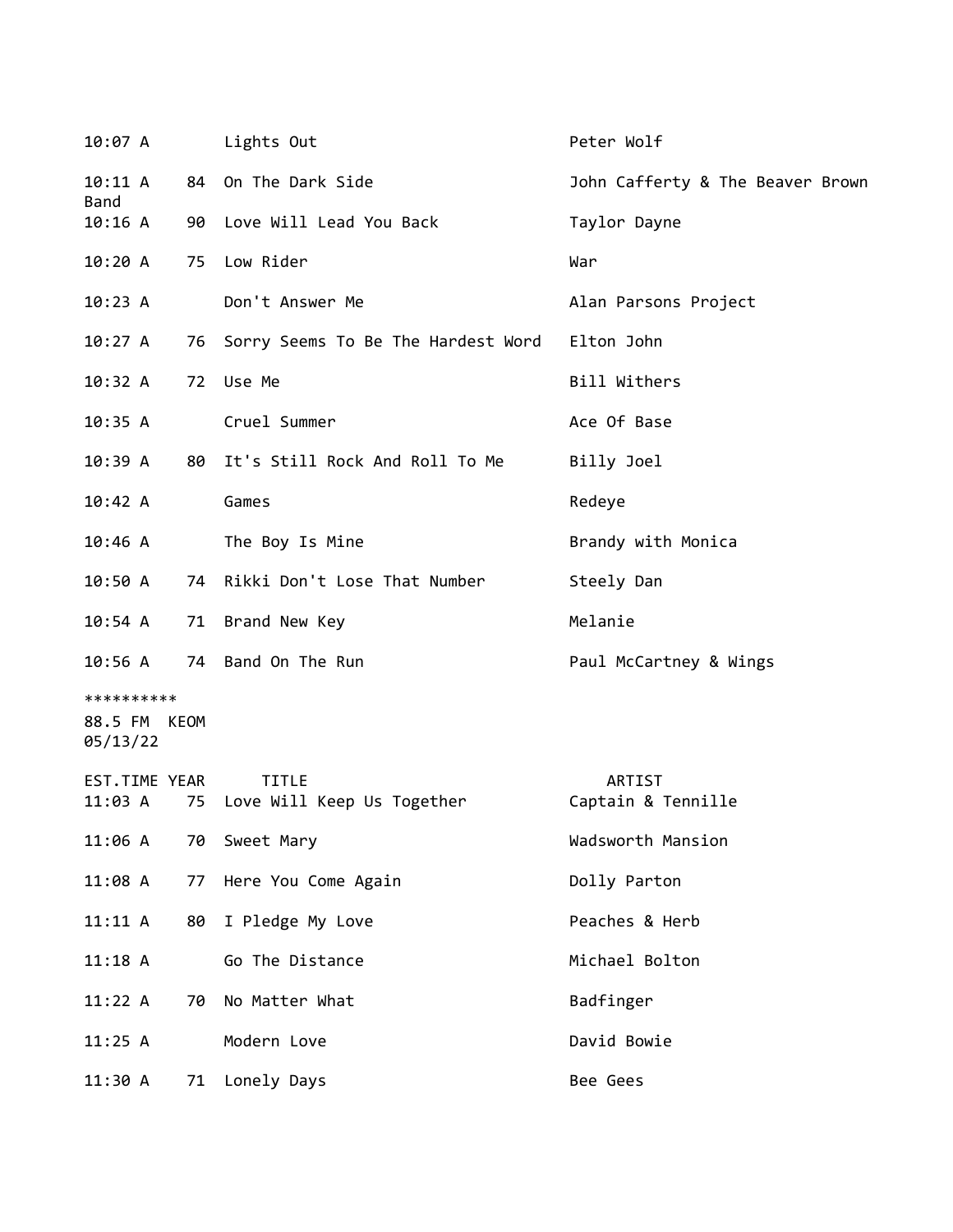| 10:07 A                                |    | Lights Out                                 | Peter Wolf                       |
|----------------------------------------|----|--------------------------------------------|----------------------------------|
| $10:11 \; A$                           |    | 84 On The Dark Side                        | John Cafferty & The Beaver Brown |
| <b>Band</b><br>10:16 A                 |    | 90 Love Will Lead You Back                 | Taylor Dayne                     |
| 10:20A                                 | 75 | Low Rider                                  | War                              |
| 10:23 A                                |    | Don't Answer Me                            | Alan Parsons Project             |
| 10:27 A                                |    | 76 Sorry Seems To Be The Hardest Word      | Elton John                       |
| 10:32 A                                |    | 72 Use Me                                  | Bill Withers                     |
| 10:35 A                                |    | Cruel Summer                               | Ace Of Base                      |
| 10:39A                                 |    | 80 It's Still Rock And Roll To Me          | Billy Joel                       |
| 10:42 A                                |    | Games                                      | Redeye                           |
| 10:46 A                                |    | The Boy Is Mine                            | Brandy with Monica               |
| 10:50 A                                |    | 74 Rikki Don't Lose That Number            | Steely Dan                       |
| 10:54 A                                |    | 71 Brand New Key                           | Melanie                          |
|                                        |    | 10:56 A 74 Band On The Run                 | Paul McCartney & Wings           |
| **********<br>88.5 FM KEOM<br>05/13/22 |    |                                            |                                  |
| EST.TIME YEAR<br>11:03 A               | 75 | <b>TITLE</b><br>Love Will Keep Us Together | ARTIST<br>Captain & Tennille     |
| 11:06 A                                | 70 | Sweet Mary                                 | Wadsworth Mansion                |
| $11:08$ A                              | 77 | Here You Come Again                        | Dolly Parton                     |
| 11:11 A                                | 80 | I Pledge My Love                           | Peaches & Herb                   |
| 11:18A                                 |    | Go The Distance                            | Michael Bolton                   |
| 11:22 A                                | 70 | No Matter What                             | Badfinger                        |
| 11:25 A                                |    | Modern Love                                | David Bowie                      |
| 11:30 A                                | 71 | Lonely Days                                | Bee Gees                         |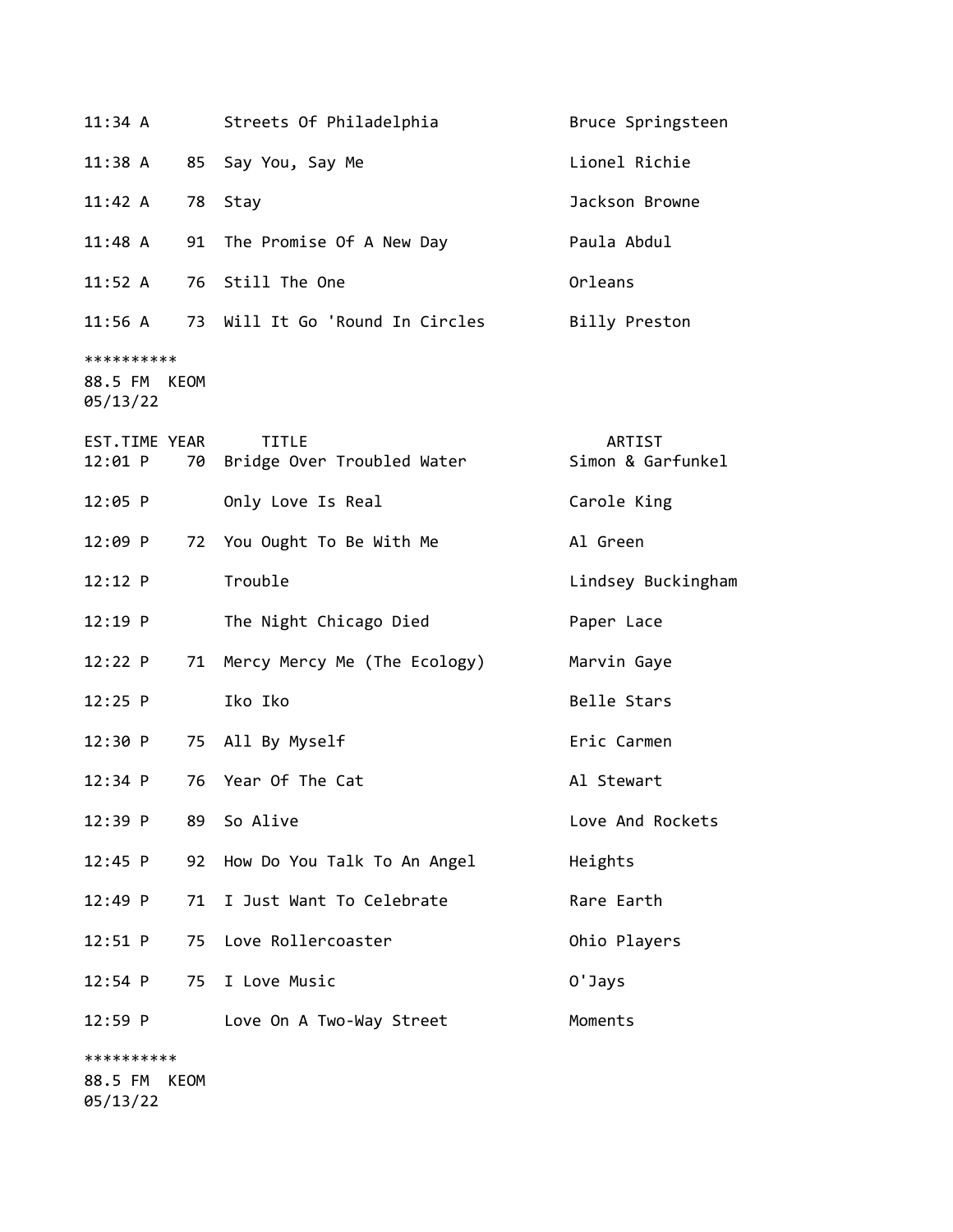| $11:34$ A                              | Streets Of Philadelphia                    | Bruce Springsteen           |
|----------------------------------------|--------------------------------------------|-----------------------------|
| 11:38 A                                | 85 Say You, Say Me                         | Lionel Richie               |
| 11:42 A                                | 78 Stay                                    | Jackson Browne              |
| 11:48 A                                | 91 The Promise Of A New Day                | Paula Abdul                 |
| $11:52$ A                              | 76 Still The One                           | Orleans                     |
| $11:56$ A                              | 73 Will It Go 'Round In Circles            | Billy Preston               |
| **********<br>88.5 FM KEOM<br>05/13/22 |                                            |                             |
| EST.TIME YEAR<br>12:01 P<br>70         | <b>TITLE</b><br>Bridge Over Troubled Water | ARTIST<br>Simon & Garfunkel |
| 12:05 P                                | Only Love Is Real                          | Carole King                 |
| 12:09 P                                | 72 You Ought To Be With Me                 | Al Green                    |
| 12:12 P                                | Trouble                                    | Lindsey Buckingham          |
| $12:19$ P                              | The Night Chicago Died                     | Paper Lace                  |
| 12:22 P                                | 71 Mercy Mercy Me (The Ecology)            | Marvin Gaye                 |
| $12:25$ P                              | Iko Iko                                    | Belle Stars                 |
| 12:30 P                                | 75 All By Myself                           | Eric Carmen                 |
| 12:34 P                                | 76 Year Of The Cat                         | Al Stewart                  |
| 12:39 P<br>89                          | So Alive                                   | Love And Rockets            |
| 12:45 P<br>92                          | How Do You Talk To An Angel                | Heights                     |
| 12:49 P<br>71                          | I Just Want To Celebrate                   | Rare Earth                  |
| 12:51 P<br>75                          | Love Rollercoaster                         | Ohio Players                |
| 12:54 P<br>75                          | I Love Music                               | 0'Jays                      |
| $12:59$ P                              | Love On A Two-Way Street                   | Moments                     |
| **********                             |                                            |                             |

88.5 FM KEOM 05/13/22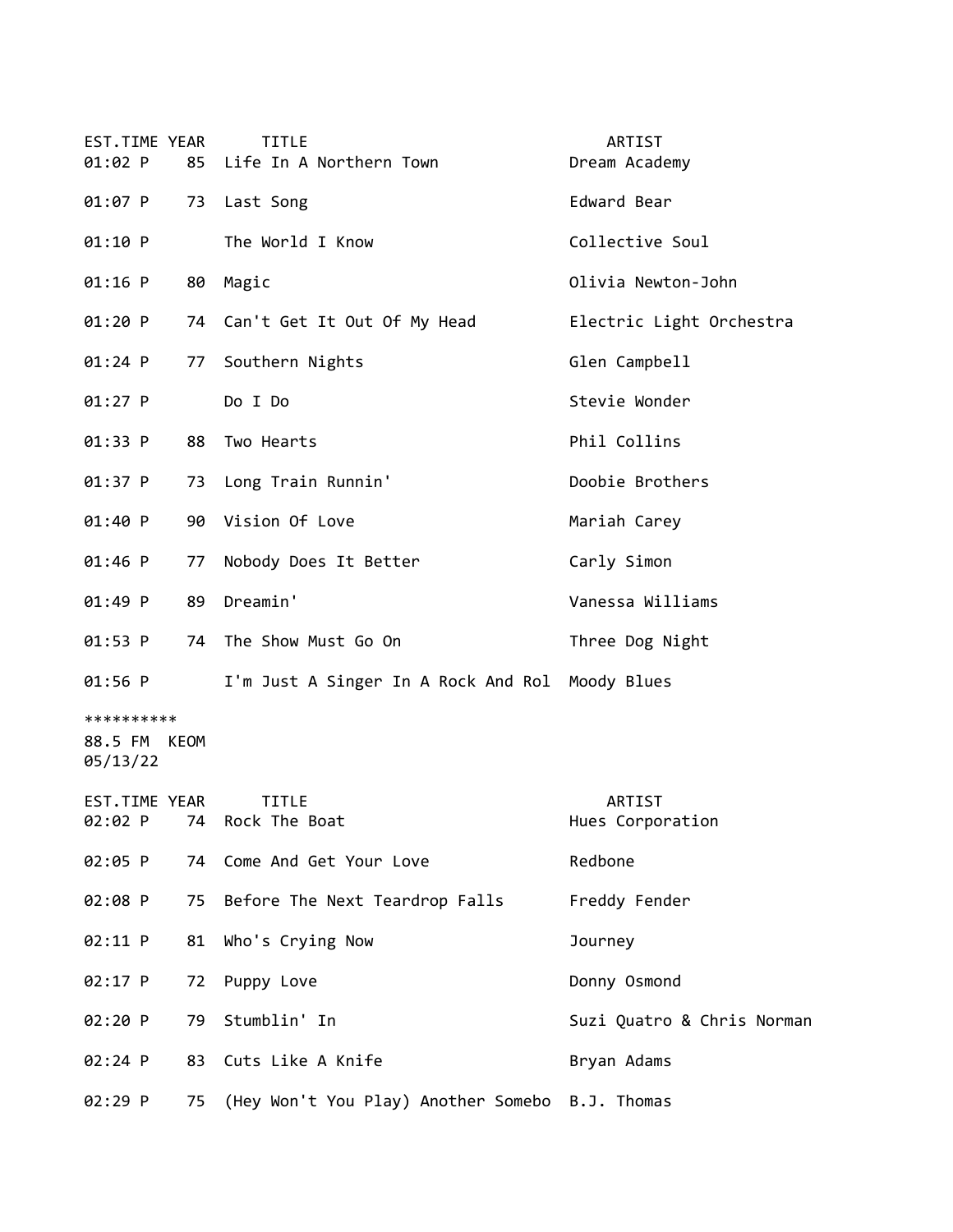| EST.TIME YEAR<br>$01:02$ P             | 85 | <b>TITLE</b><br>Life In A Northern Town            | ARTIST<br>Dream Academy    |
|----------------------------------------|----|----------------------------------------------------|----------------------------|
| 01:07 P                                | 73 | Last Song                                          | Edward Bear                |
| 01:10 P                                |    | The World I Know                                   | Collective Soul            |
| $01:16$ P                              | 80 | Magic                                              | Olivia Newton-John         |
| 01:20 P                                |    | 74 Can't Get It Out Of My Head                     | Electric Light Orchestra   |
| $01:24$ P                              | 77 | Southern Nights                                    | Glen Campbell              |
| $01:27$ P                              |    | Do I Do                                            | Stevie Wonder              |
| 01:33 P                                | 88 | Two Hearts                                         | Phil Collins               |
| 01:37 P                                |    | 73 Long Train Runnin'                              | Doobie Brothers            |
| 01:40 P                                | 90 | Vision Of Love                                     | Mariah Carey               |
| 01:46 P                                | 77 | Nobody Does It Better                              | Carly Simon                |
| 01:49 P                                | 89 | Dreamin'                                           | Vanessa Williams           |
| $01:53$ P                              | 74 | The Show Must Go On                                | Three Dog Night            |
| 01:56 P                                |    | I'm Just A Singer In A Rock And Rol Moody Blues    |                            |
| **********<br>88.5 FM KEOM<br>05/13/22 |    |                                                    |                            |
| EST.TIME YEAR                          |    | TITLE                                              | ARTIST                     |
| 02:02 P                                | 74 | Rock The Boat                                      | Hues Corporation           |
| 02:05 P                                | 74 | Come And Get Your Love                             | Redbone                    |
| 02:08 P                                | 75 | Before The Next Teardrop Falls                     | Freddy Fender              |
| 02:11 P                                | 81 | Who's Crying Now                                   | Journey                    |
| 02:17 P                                | 72 | Puppy Love                                         | Donny Osmond               |
| 02:20 P                                | 79 | Stumblin' In                                       | Suzi Quatro & Chris Norman |
| 02:24 P                                | 83 | Cuts Like A Knife                                  | Bryan Adams                |
| 02:29 P                                |    | 75 (Hey Won't You Play) Another Somebo B.J. Thomas |                            |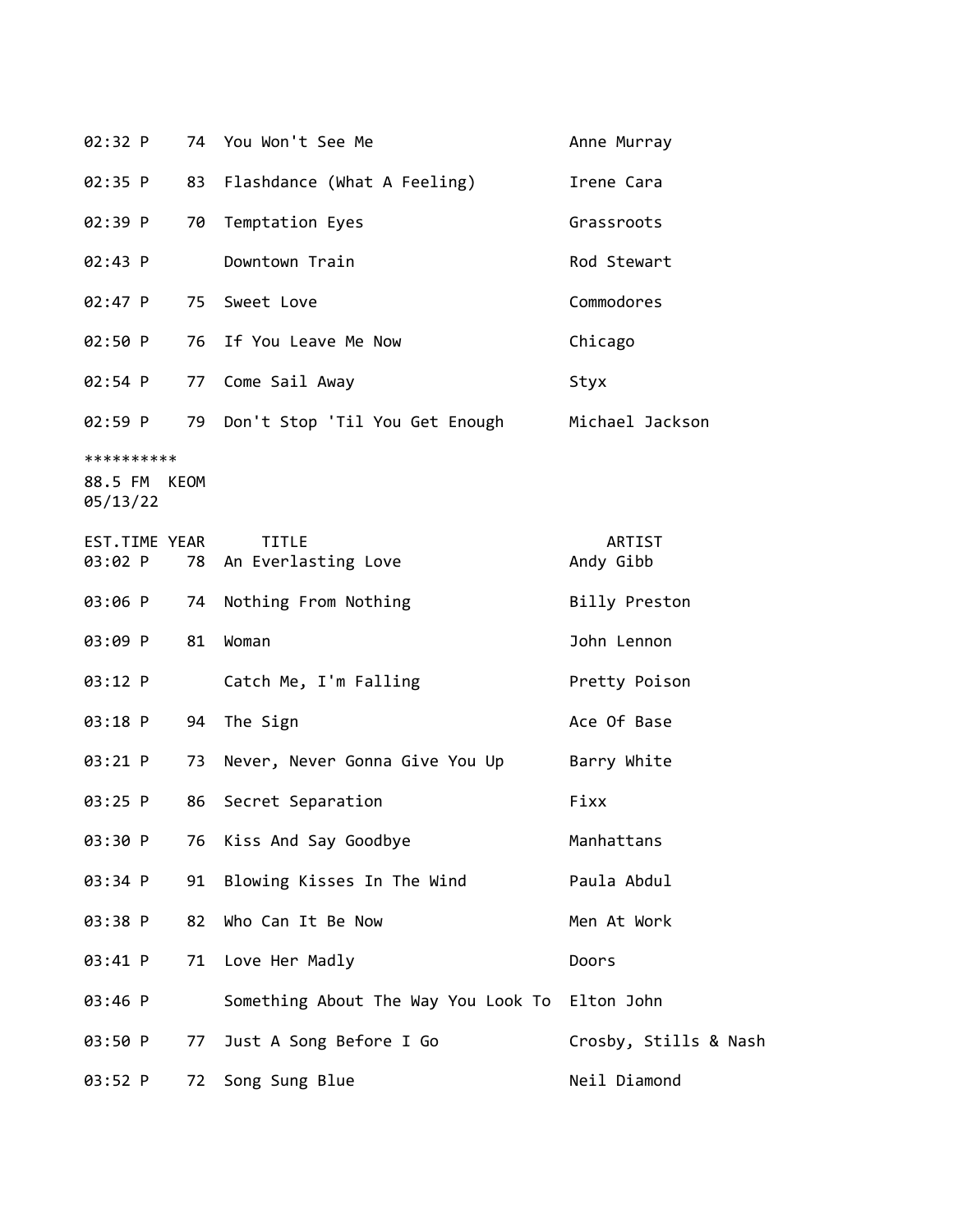| 02:32 P                                |    | 74 You Won't See Me                            | Anne Murray         |
|----------------------------------------|----|------------------------------------------------|---------------------|
| 02:35 P                                | 83 | Flashdance (What A Feeling)                    | Irene Cara          |
| 02:39 P                                | 70 | Temptation Eyes                                | Grassroots          |
| 02:43 P                                |    | Downtown Train                                 | Rod Stewart         |
| $02:47$ P                              |    | 75 Sweet Love                                  | Commodores          |
| 02:50 P                                | 76 | If You Leave Me Now                            | Chicago             |
| 02:54 P                                |    | 77 Come Sail Away                              | Styx                |
| 02:59 P                                |    | 79 Don't Stop 'Til You Get Enough              | Michael Jackson     |
| **********<br>88.5 FM KEOM<br>05/13/22 |    |                                                |                     |
| EST.TIME YEAR<br>03:02 P               | 78 | <b>TITLE</b><br>An Everlasting Love            | ARTIST<br>Andy Gibb |
| 03:06 P                                | 74 | Nothing From Nothing                           | Billy Preston       |
| 03:09 P                                | 81 | Woman                                          | John Lennon         |
| 03:12 P                                |    | Catch Me, I'm Falling                          | Pretty Poison       |
| 03:18 P                                | 94 | The Sign                                       | Ace Of Base         |
| 03:21 P                                | 73 | Never, Never Gonna Give You Up                 | Barry White         |
| 03:25 P                                | 86 | Secret Separation                              | Fixx                |
| 03:30 P                                | 76 | Kiss And Say Goodbye                           | Manhattans          |
| 03:34 P                                | 91 | Blowing Kisses In The Wind                     | Paula Abdul         |
| 03:38 P                                | 82 | Who Can It Be Now                              | Men At Work         |
| 03:41 P                                | 71 | Love Her Madly                                 | Doors               |
| 03:46 P                                |    | Something About The Way You Look To Elton John |                     |

Crosby, Stills & Nash 03:50 P 77 Just A Song Before I Go 03:52 P 72 Song Sung Blue Neil Diamond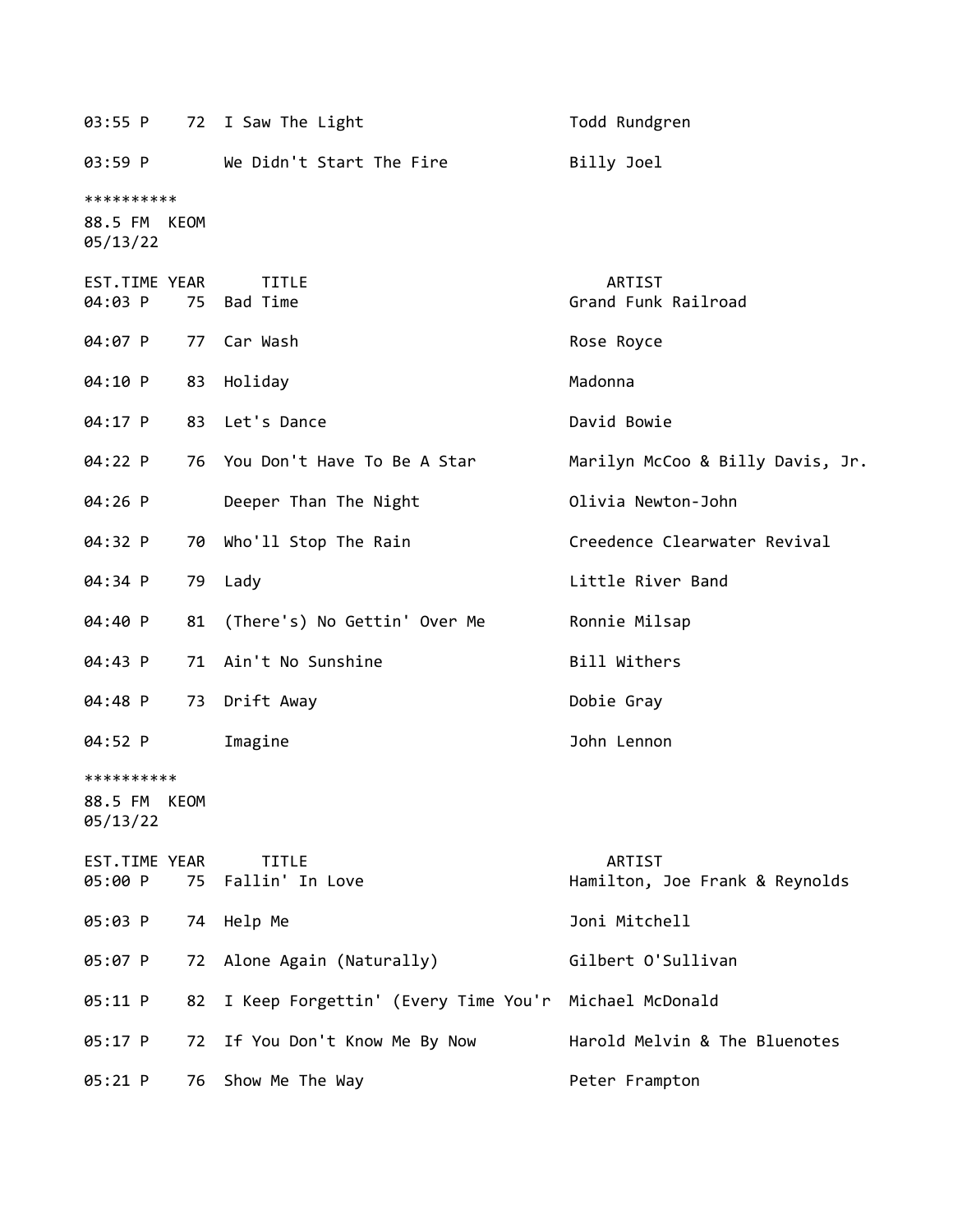|                                        |    | 03:55 P 72 I Saw The Light          | Todd Rundgren                            |
|----------------------------------------|----|-------------------------------------|------------------------------------------|
| 03:59 P                                |    | We Didn't Start The Fire            | Billy Joel                               |
| **********<br>88.5 FM KEOM<br>05/13/22 |    |                                     |                                          |
| EST.TIME YEAR<br>04:03 P               |    | <b>TITLE</b><br>75 Bad Time         | ARTIST<br>Grand Funk Railroad            |
| 04:07 P                                |    | 77 Car Wash                         | Rose Royce                               |
| 04:10 P                                |    | 83 Holiday                          | Madonna                                  |
| 04:17 P                                |    | 83 Let's Dance                      | David Bowie                              |
| 04:22 P                                |    | 76 You Don't Have To Be A Star      | Marilyn McCoo & Billy Davis, Jr.         |
| 04:26 P                                |    | Deeper Than The Night               | Olivia Newton-John                       |
| 04:32 P                                | 70 | Who'll Stop The Rain                | Creedence Clearwater Revival             |
| 04:34 P                                |    | 79 Lady                             | Little River Band                        |
| 04:40 P                                | 81 | (There's) No Gettin' Over Me        | Ronnie Milsap                            |
| 04:43 P                                |    | 71 Ain't No Sunshine                | Bill Withers                             |
| 04:48 P                                | 73 | Drift Away                          | Dobie Gray                               |
| 04:52 P                                |    | Imagine                             | John Lennon                              |
| **********<br>88.5 FM KEOM<br>05/13/22 |    |                                     |                                          |
| EST.TIME YEAR<br>05:00 P               |    | <b>TITLE</b><br>75 Fallin' In Love  | ARTIST<br>Hamilton, Joe Frank & Reynolds |
| 05:03 P                                | 74 | Help Me                             | Joni Mitchell                            |
| 05:07 P                                | 72 | Alone Again (Naturally)             | Gilbert O'Sullivan                       |
| 05:11 P                                | 82 | I Keep Forgettin' (Every Time You'r | Michael McDonald                         |
| 05:17 P                                | 72 | If You Don't Know Me By Now         | Harold Melvin & The Bluenotes            |
| $05:21$ P                              | 76 | Show Me The Way                     | Peter Frampton                           |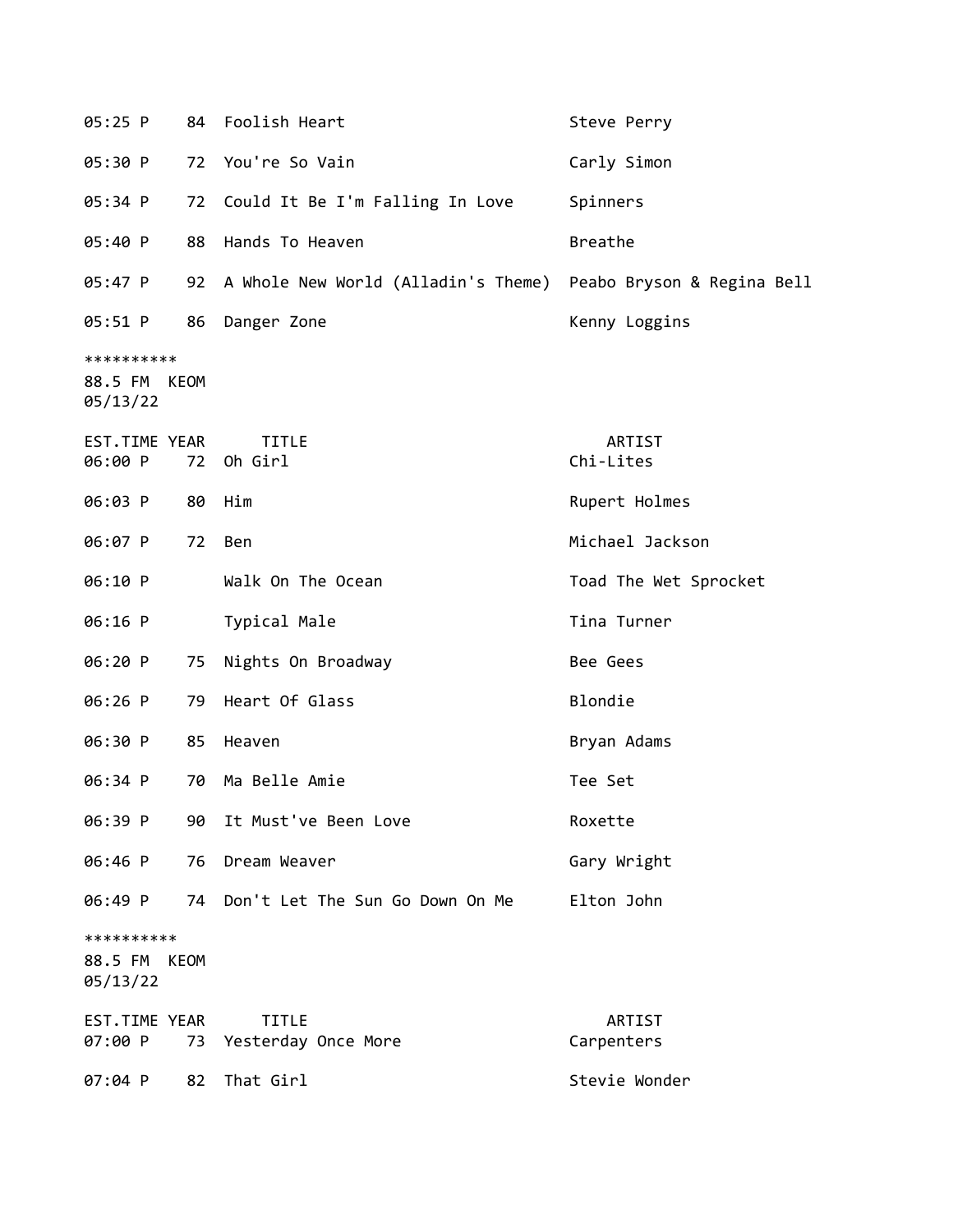| 05:25 P                           |      | 84 Foolish Heart                                               | Steve Perry           |
|-----------------------------------|------|----------------------------------------------------------------|-----------------------|
| 05:30 P                           | 72   | You're So Vain                                                 | Carly Simon           |
| 05:34 P                           | 72   | Could It Be I'm Falling In Love                                | Spinners              |
| 05:40 P                           | 88   | Hands To Heaven                                                | <b>Breathe</b>        |
| 05:47 P                           | 92   | A Whole New World (Alladin's Theme) Peabo Bryson & Regina Bell |                       |
| 05:51 P                           | 86   | Danger Zone                                                    | Kenny Loggins         |
| **********<br>88.5 FM<br>05/13/22 | KEOM |                                                                |                       |
| EST.TIME YEAR<br>06:00 P          | 72   | <b>TITLE</b><br>Oh Girl                                        | ARTIST<br>Chi-Lites   |
| 06:03 P                           | 80   | Him                                                            | Rupert Holmes         |
| 06:07 P                           | 72   | Ben                                                            | Michael Jackson       |
| 06:10 P                           |      | Walk On The Ocean                                              | Toad The Wet Sprocket |
| 06:16 P                           |      | Typical Male                                                   | Tina Turner           |
| 06:20 P                           | 75   | Nights On Broadway                                             | Bee Gees              |
| 06:26 P                           | 79   | Heart Of Glass                                                 | Blondie               |
| 06:30 P                           | 85   | Heaven                                                         | Bryan Adams           |
| 06:34 P                           | 70   | Ma Belle Amie                                                  | Tee Set               |
| 06:39 P                           | 90   | It Must've Been Love                                           | Roxette               |
| 06:46 P                           | 76   | Dream Weaver                                                   | Gary Wright           |
| 06:49 P                           |      | 74 Don't Let The Sun Go Down On Me                             | Elton John            |
| **********<br>88.5 FM<br>05/13/22 | KEOM |                                                                |                       |
| EST.TIME YEAR<br>07:00 P          | 73   | <b>TITLE</b><br>Yesterday Once More                            | ARTIST<br>Carpenters  |
| 07:04 P                           | 82   | That Girl                                                      | Stevie Wonder         |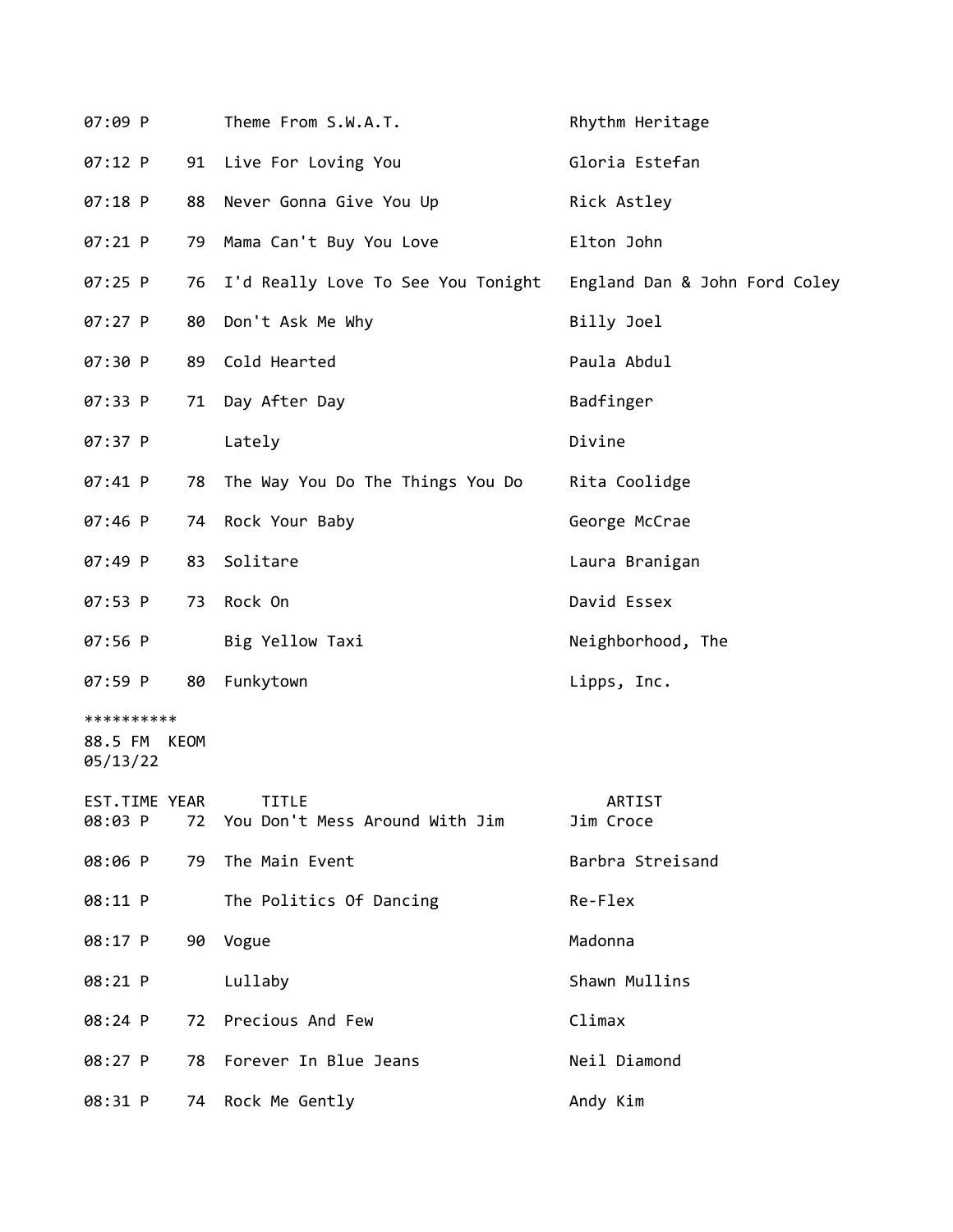|    | Theme From S.W.A.T.                | Rhythm Heritage                                                                                                                                                              |
|----|------------------------------------|------------------------------------------------------------------------------------------------------------------------------------------------------------------------------|
|    | Live For Loving You                | Gloria Estefan                                                                                                                                                               |
| 88 | Never Gonna Give You Up            | Rick Astley                                                                                                                                                                  |
| 79 | Mama Can't Buy You Love            | Elton John                                                                                                                                                                   |
|    | I'd Really Love To See You Tonight | England Dan & John Ford Coley                                                                                                                                                |
| 80 | Don't Ask Me Why                   | Billy Joel                                                                                                                                                                   |
|    |                                    | Paula Abdul                                                                                                                                                                  |
| 71 | Day After Day                      | Badfinger                                                                                                                                                                    |
|    | Lately                             | Divine                                                                                                                                                                       |
|    |                                    | Rita Coolidge                                                                                                                                                                |
| 74 | Rock Your Baby                     | George McCrae                                                                                                                                                                |
| 83 | Solitare                           | Laura Branigan                                                                                                                                                               |
| 73 | Rock On                            | David Essex                                                                                                                                                                  |
|    | Big Yellow Taxi                    | Neighborhood, The                                                                                                                                                            |
| 80 | Funkytown                          | Lipps, Inc.                                                                                                                                                                  |
|    |                                    |                                                                                                                                                                              |
|    | TITLE                              | ARTIST<br>Jim Croce                                                                                                                                                          |
| 79 | The Main Event                     | Barbra Streisand                                                                                                                                                             |
|    | The Politics Of Dancing            | Re-Flex                                                                                                                                                                      |
|    |                                    | Madonna                                                                                                                                                                      |
|    | Lullaby                            | Shawn Mullins                                                                                                                                                                |
|    |                                    | Climax                                                                                                                                                                       |
|    |                                    | Neil Diamond                                                                                                                                                                 |
|    | Rock Me Gently                     | Andy Kim                                                                                                                                                                     |
|    | 88.5 FM KEOM<br>EST.TIME YEAR      | 91<br>76<br>89 Cold Hearted<br>78 The Way You Do The Things You Do<br>72 You Don't Mess Around With Jim<br>90 Vogue<br>72 Precious And Few<br>78 Forever In Blue Jeans<br>74 |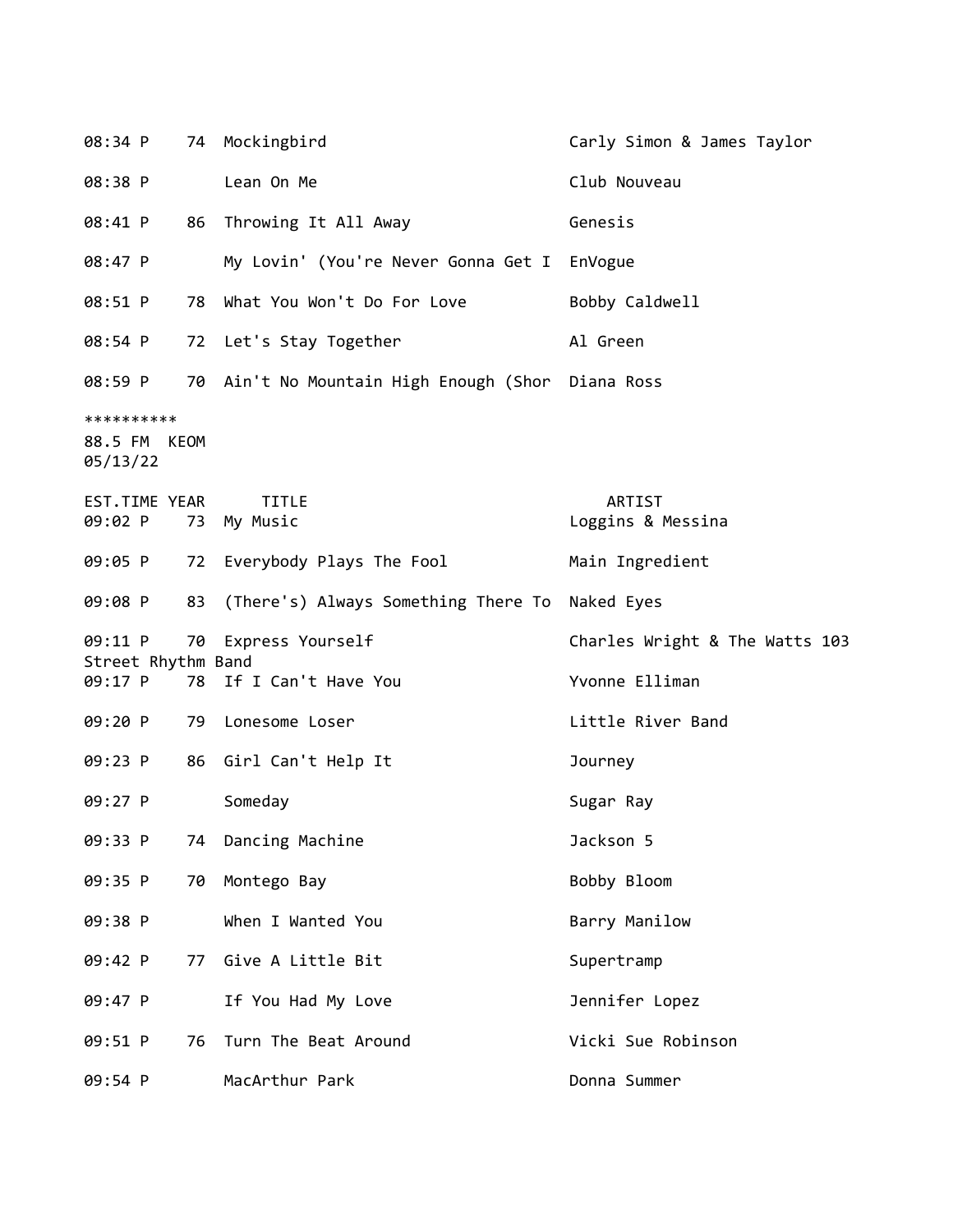| 08:34 P                                |    | 74 Mockingbird                                    | Carly Simon & James Taylor     |
|----------------------------------------|----|---------------------------------------------------|--------------------------------|
| 08:38 P                                |    | Lean On Me                                        | Club Nouveau                   |
| 08:41 P                                |    | 86 Throwing It All Away                           | Genesis                        |
| 08:47 P                                |    | My Lovin' (You're Never Gonna Get I EnVogue       |                                |
| 08:51 P                                | 78 | What You Won't Do For Love                        | Bobby Caldwell                 |
| 08:54 P                                |    | 72 Let's Stay Together                            | Al Green                       |
| 08:59 P                                |    | 70 Ain't No Mountain High Enough (Shor Diana Ross |                                |
| **********<br>88.5 FM KEOM<br>05/13/22 |    |                                                   |                                |
| EST.TIME YEAR<br>09:02 P               | 73 | <b>TITLE</b><br>My Music                          | ARTIST<br>Loggins & Messina    |
| 09:05 P                                |    | 72 Everybody Plays The Fool                       | Main Ingredient                |
| 09:08 P                                | 83 | (There's) Always Something There To Naked Eyes    |                                |
| 09:11 P                                |    | 70 Express Yourself                               | Charles Wright & The Watts 103 |
| Street Rhythm Band<br>09:17 P          |    | 78 If I Can't Have You                            | Yvonne Elliman                 |
| 09:20 P                                | 79 | Lonesome Loser                                    | Little River Band              |
| 09:23 P                                |    | 86 Girl Can't Help It                             | Journey                        |
| 09:27 P                                |    | Someday                                           | Sugar Ray                      |
| 09:33 P                                | 74 | Dancing Machine                                   | Jackson 5                      |
| 09:35 P                                | 70 | Montego Bay                                       | Bobby Bloom                    |
| 09:38 P                                |    | When I Wanted You                                 | Barry Manilow                  |
| 09:42 P                                | 77 | Give A Little Bit                                 | Supertramp                     |
| 09:47 P                                |    | If You Had My Love                                | Jennifer Lopez                 |
| 09:51 P                                | 76 | Turn The Beat Around                              | Vicki Sue Robinson             |
| 09:54 P                                |    | MacArthur Park                                    | Donna Summer                   |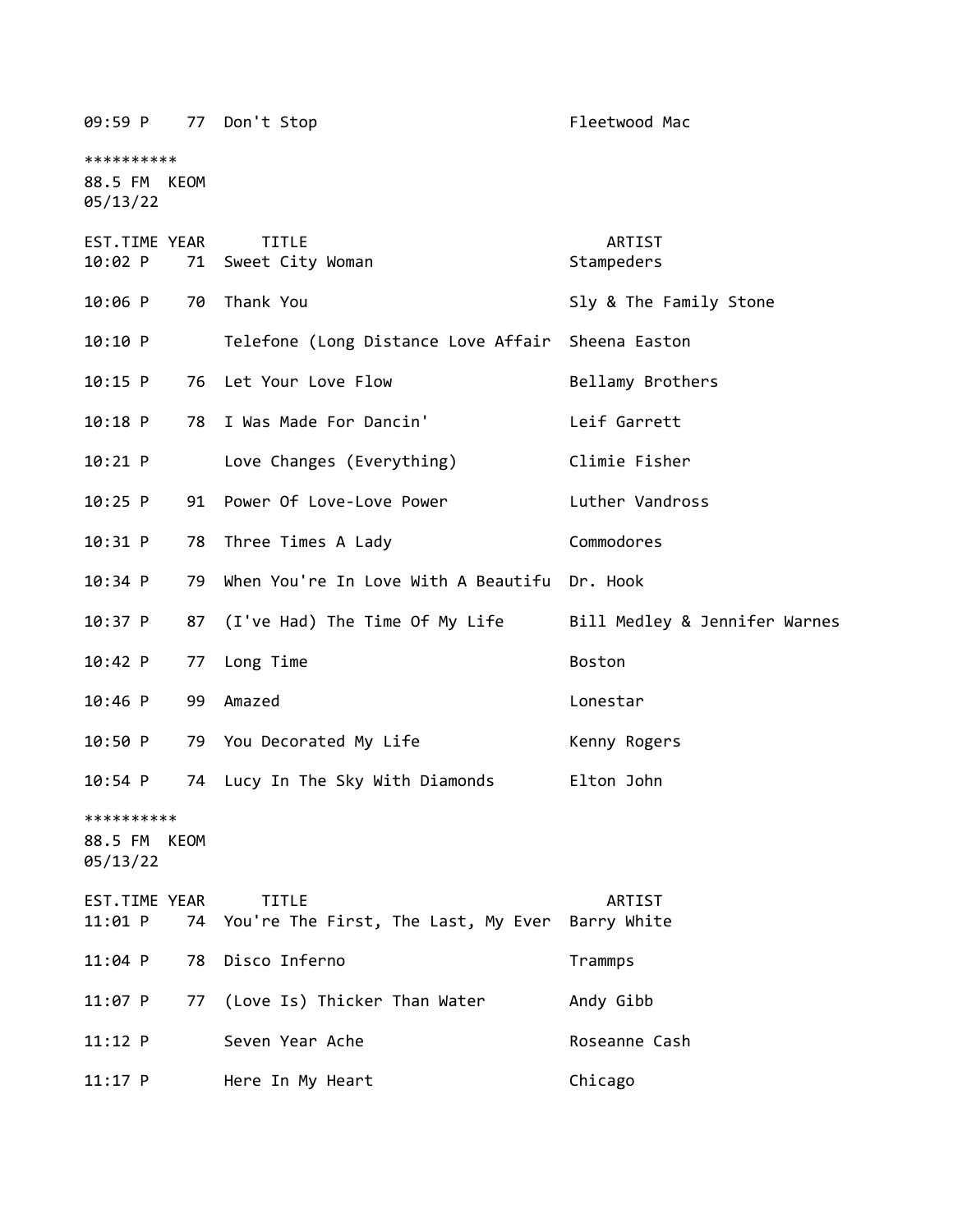| 09:59 P                                |      | 77 Don't Stop                                          | Fleetwood Mac                 |
|----------------------------------------|------|--------------------------------------------------------|-------------------------------|
| **********<br>88.5 FM KEOM<br>05/13/22 |      |                                                        |                               |
| EST.TIME YEAR<br>10:02 P               |      | <b>TITLE</b><br>71 Sweet City Woman                    | ARTIST<br>Stampeders          |
| $10:06$ P                              | 70   | Thank You                                              | Sly & The Family Stone        |
| 10:10 P                                |      | Telefone (Long Distance Love Affair                    | Sheena Easton                 |
| $10:15$ P                              | 76   | Let Your Love Flow                                     | Bellamy Brothers              |
| $10:18$ P                              | 78   | I Was Made For Dancin'                                 | Leif Garrett                  |
| $10:21$ P                              |      | Love Changes (Everything)                              | Climie Fisher                 |
| $10:25$ P                              | 91   | Power Of Love-Love Power                               | Luther Vandross               |
| $10:31$ P                              | 78   | Three Times A Lady                                     | Commodores                    |
| $10:34$ P                              | 79   | When You're In Love With A Beautifu Dr. Hook           |                               |
| 10:37 P                                | 87   | (I've Had) The Time Of My Life                         | Bill Medley & Jennifer Warnes |
| 10:42 P                                | 77   | Long Time                                              | Boston                        |
| $10:46$ P                              | 99   | Amazed                                                 | Lonestar                      |
| 10:50 P                                |      | 79 You Decorated My Life                               | Kenny Rogers                  |
| $10:54$ P                              | 74   | Lucy In The Sky With Diamonds                          | Elton John                    |
| **********<br>88.5 FM<br>05/13/22      | KEOM |                                                        |                               |
| EST.TIME YEAR<br>11:01 P               |      | <b>TITLE</b><br>74 You're The First, The Last, My Ever | ARTIST<br>Barry White         |
| $11:04$ P                              | 78   | Disco Inferno                                          | Trammps                       |
| $11:07$ P                              | 77   | (Love Is) Thicker Than Water                           | Andy Gibb                     |
| $11:12$ P                              |      | Seven Year Ache                                        | Roseanne Cash                 |
| $11:17$ P                              |      | Here In My Heart                                       | Chicago                       |